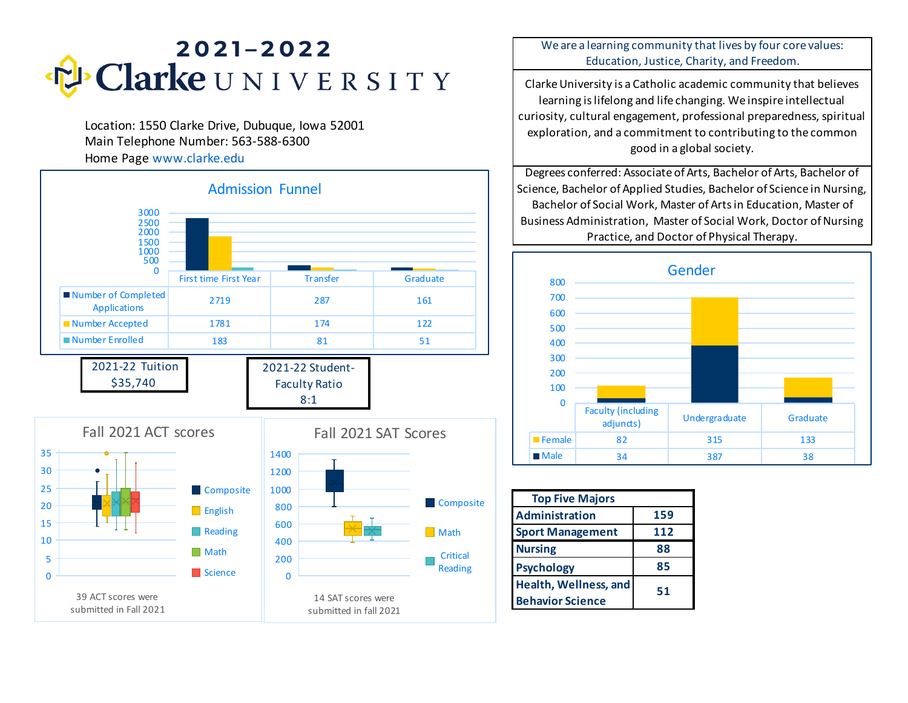

Location: 1550 Clarke Drive, Dubuque, Iowa 52001 Main Telephone Number: 563-588-6300 Home Page www.clarke.edu



We are a learning community that lives by four core values: Education, Justice, Charity, and Freedom.

Clarke University is a Catholic academic community that believes learning is lifelong and life changing. We inspire intellectual curiosity, cultural engagement, professional preparedness, spiritual exploration, and a commitment to contributing to the common good in a global society.

Degrees conferred: Associate of Arts, Bachelor of Arts, Bachelor of Science, Bachelor of Applied Studies, Bachelor of Science in Nursing, Bachelor of Social Work, Master of Arts in Education, Master of Business Administration, Master of Social Work, Doctor of Nursing Practice, and Doctor of Physical Therapy.



| <b>Top Five Majors</b>  |     |
|-------------------------|-----|
| Administration          | 159 |
| <b>Sport Management</b> | 112 |
| <b>Nursing</b>          | 88  |
| <b>Psychology</b>       | 85  |
| Health, Wellness, and   | 51  |
| <b>Behavior Science</b> |     |